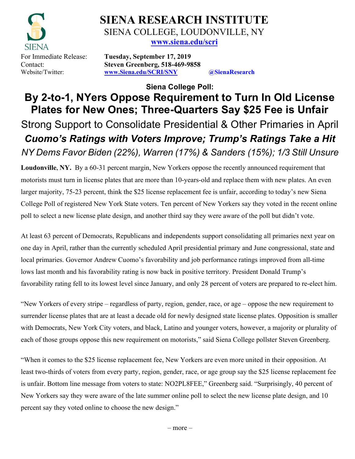

# SIENA RESEARCH INSTITUTE SIENA COLLEGE, LOUDONVILLE, NY www.siena.edu/scri

For Immediate Release: Tuesday, September 17, 2019 Contact: Steven Greenberg, 518-469-9858 Website/Twitter: www.Siena.edu/SCRI/SNY @SienaResearch

Siena College Poll:

# By 2-to-1, NYers Oppose Requirement to Turn In Old License Plates for New Ones; Three-Quarters Say \$25 Fee is Unfair Strong Support to Consolidate Presidential & Other Primaries in April Cuomo's Ratings with Voters Improve; Trump's Ratings Take a Hit NY Dems Favor Biden (22%), Warren (17%) & Sanders (15%); 1/3 Still Unsure

Loudonville, NY. By a 60-31 percent margin, New Yorkers oppose the recently announced requirement that motorists must turn in license plates that are more than 10-years-old and replace them with new plates. An even larger majority, 75-23 percent, think the \$25 license replacement fee is unfair, according to today's new Siena College Poll of registered New York State voters. Ten percent of New Yorkers say they voted in the recent online poll to select a new license plate design, and another third say they were aware of the poll but didn't vote.

At least 63 percent of Democrats, Republicans and independents support consolidating all primaries next year on one day in April, rather than the currently scheduled April presidential primary and June congressional, state and local primaries. Governor Andrew Cuomo's favorability and job performance ratings improved from all-time lows last month and his favorability rating is now back in positive territory. President Donald Trump's favorability rating fell to its lowest level since January, and only 28 percent of voters are prepared to re-elect him.

"New Yorkers of every stripe – regardless of party, region, gender, race, or age – oppose the new requirement to surrender license plates that are at least a decade old for newly designed state license plates. Opposition is smaller with Democrats, New York City voters, and black, Latino and younger voters, however, a majority or plurality of each of those groups oppose this new requirement on motorists," said Siena College pollster Steven Greenberg.

"When it comes to the \$25 license replacement fee, New Yorkers are even more united in their opposition. At least two-thirds of voters from every party, region, gender, race, or age group say the \$25 license replacement fee is unfair. Bottom line message from voters to state: NO2PL8FEE," Greenberg said. "Surprisingly, 40 percent of New Yorkers say they were aware of the late summer online poll to select the new license plate design, and 10 percent say they voted online to choose the new design."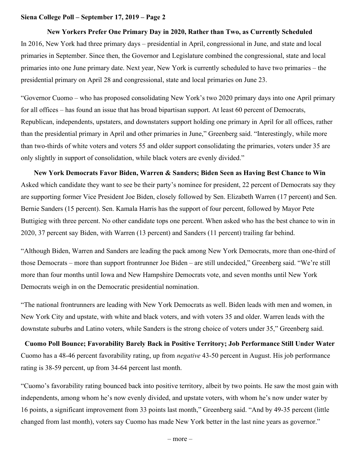#### Siena College Poll – September 17, 2019 – Page 2

# New Yorkers Prefer One Primary Day in 2020, Rather than Two, as Currently Scheduled In 2016, New York had three primary days – presidential in April, congressional in June, and state and local primaries in September. Since then, the Governor and Legislature combined the congressional, state and local primaries into one June primary date. Next year, New York is currently scheduled to have two primaries – the presidential primary on April 28 and congressional, state and local primaries on June 23.

"Governor Cuomo – who has proposed consolidating New York's two 2020 primary days into one April primary for all offices – has found an issue that has broad bipartisan support. At least 60 percent of Democrats, Republican, independents, upstaters, and downstaters support holding one primary in April for all offices, rather than the presidential primary in April and other primaries in June," Greenberg said. "Interestingly, while more than two-thirds of white voters and voters 55 and older support consolidating the primaries, voters under 35 are only slightly in support of consolidation, while black voters are evenly divided."

#### New York Democrats Favor Biden, Warren & Sanders; Biden Seen as Having Best Chance to Win

Asked which candidate they want to see be their party's nominee for president, 22 percent of Democrats say they are supporting former Vice President Joe Biden, closely followed by Sen. Elizabeth Warren (17 percent) and Sen. Bernie Sanders (15 percent). Sen. Kamala Harris has the support of four percent, followed by Mayor Pete Buttigieg with three percent. No other candidate tops one percent. When asked who has the best chance to win in 2020, 37 percent say Biden, with Warren (13 percent) and Sanders (11 percent) trailing far behind.

"Although Biden, Warren and Sanders are leading the pack among New York Democrats, more than one-third of those Democrats – more than support frontrunner Joe Biden – are still undecided," Greenberg said. "We're still more than four months until Iowa and New Hampshire Democrats vote, and seven months until New York Democrats weigh in on the Democratic presidential nomination.

"The national frontrunners are leading with New York Democrats as well. Biden leads with men and women, in New York City and upstate, with white and black voters, and with voters 35 and older. Warren leads with the downstate suburbs and Latino voters, while Sanders is the strong choice of voters under 35," Greenberg said.

Cuomo Poll Bounce; Favorability Barely Back in Positive Territory; Job Performance Still Under Water Cuomo has a 48-46 percent favorability rating, up from negative 43-50 percent in August. His job performance rating is 38-59 percent, up from 34-64 percent last month.

"Cuomo's favorability rating bounced back into positive territory, albeit by two points. He saw the most gain with independents, among whom he's now evenly divided, and upstate voters, with whom he's now under water by 16 points, a significant improvement from 33 points last month," Greenberg said. "And by 49-35 percent (little changed from last month), voters say Cuomo has made New York better in the last nine years as governor."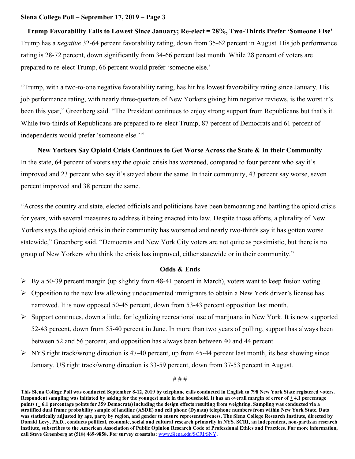#### Siena College Poll – September 17, 2019 – Page 3

Trump Favorability Falls to Lowest Since January; Re-elect = 28%, Two-Thirds Prefer 'Someone Else' Trump has a *negative* 32-64 percent favorability rating, down from 35-62 percent in August. His job performance rating is 28-72 percent, down significantly from 34-66 percent last month. While 28 percent of voters are prepared to re-elect Trump, 66 percent would prefer 'someone else.'

"Trump, with a two-to-one negative favorability rating, has hit his lowest favorability rating since January. His job performance rating, with nearly three-quarters of New Yorkers giving him negative reviews, is the worst it's been this year," Greenberg said. "The President continues to enjoy strong support from Republicans but that's it. While two-thirds of Republicans are prepared to re-elect Trump, 87 percent of Democrats and 61 percent of independents would prefer 'someone else.'"

New Yorkers Say Opioid Crisis Continues to Get Worse Across the State & In their Community In the state, 64 percent of voters say the opioid crisis has worsened, compared to four percent who say it's improved and 23 percent who say it's stayed about the same. In their community, 43 percent say worse, seven percent improved and 38 percent the same.

"Across the country and state, elected officials and politicians have been bemoaning and battling the opioid crisis for years, with several measures to address it being enacted into law. Despite those efforts, a plurality of New Yorkers says the opioid crisis in their community has worsened and nearly two-thirds say it has gotten worse statewide," Greenberg said. "Democrats and New York City voters are not quite as pessimistic, but there is no group of New Yorkers who think the crisis has improved, either statewide or in their community."

#### Odds & Ends

- $\triangleright$  By a 50-39 percent margin (up slightly from 48-41 percent in March), voters want to keep fusion voting.
- $\triangleright$  Opposition to the new law allowing undocumented immigrants to obtain a New York driver's license has narrowed. It is now opposed 50-45 percent, down from 53-43 percent opposition last month.
- $\triangleright$  Support continues, down a little, for legalizing recreational use of marijuana in New York. It is now supported 52-43 percent, down from 55-40 percent in June. In more than two years of polling, support has always been between 52 and 56 percent, and opposition has always been between 40 and 44 percent.
- $\triangleright$  NYS right track/wrong direction is 47-40 percent, up from 45-44 percent last month, its best showing since January. US right track/wrong direction is 33-59 percent, down from 37-53 percent in August.

# # #

This Siena College Poll was conducted September 8-12, 2019 by telephone calls conducted in English to 798 New York State registered voters. Respondent sampling was initiated by asking for the youngest male in the household. It has an overall margin of error of + 4.1 percentage points  $(\pm 6.1)$  percentage points for 359 Democrats) including the design effects resulting from weighting. Sampling was conducted via a stratified dual frame probability sample of landline (ASDE) and cell phone (Dynata) telephone numbers from within New York State. Data was statistically adjusted by age, party by region, and gender to ensure representativeness. The Siena College Research Institute, directed by Donald Levy, Ph.D., conducts political, economic, social and cultural research primarily in NYS. SCRI, an independent, non-partisan research institute, subscribes to the American Association of Public Opinion Research Code of Professional Ethics and Practices. For more information, call Steve Greenberg at (518) 469-9858. For survey crosstabs: www.Siena.edu/SCRI/SNY.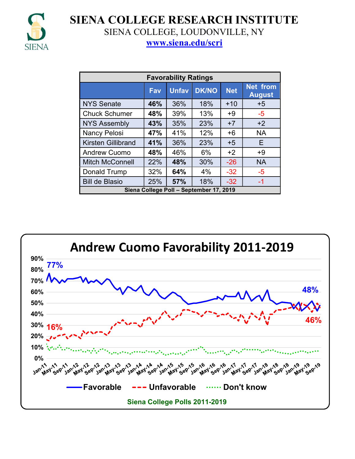

SIENA COLLEGE RESEARCH INSTITUTE

SIENA COLLEGE, LOUDONVILLE, NY

www.siena.edu/scri

| <b>Favorability Ratings</b>                                                           |     |     |                                         |       |           |  |
|---------------------------------------------------------------------------------------|-----|-----|-----------------------------------------|-------|-----------|--|
| <b>Net from</b><br><b>DK/NO</b><br><b>Unfav</b><br><b>Net</b><br>Fav<br><b>August</b> |     |     |                                         |       |           |  |
| <b>NYS Senate</b>                                                                     | 46% | 36% | 18%                                     | $+10$ | $+5$      |  |
| <b>Chuck Schumer</b>                                                                  | 48% | 39% | 13%                                     | $+9$  | $-5$      |  |
| <b>NYS Assembly</b>                                                                   | 43% | 35% | 23%                                     | $+7$  | $+2$      |  |
| Nancy Pelosi                                                                          | 47% | 41% | 12%                                     | $+6$  | <b>NA</b> |  |
| <b>Kirsten Gillibrand</b>                                                             | 41% | 36% | 23%                                     | $+5$  | E         |  |
| <b>Andrew Cuomo</b>                                                                   | 48% | 46% | 6%                                      | $+2$  | $+9$      |  |
| <b>Mitch McConnell</b>                                                                | 22% | 48% | 30%                                     | $-26$ | <b>NA</b> |  |
| Donald Trump                                                                          | 32% | 64% | 4%                                      | $-32$ | $-5$      |  |
| <b>Bill de Blasio</b>                                                                 | 25% | 57% | 18%                                     | $-32$ | -1        |  |
|                                                                                       |     |     | Siena College Poll - September 17, 2019 |       |           |  |

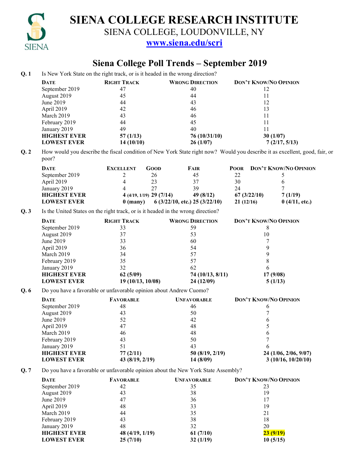

# SIENA COLLEGE RESEARCH INSTITUTE

SIENA COLLEGE, LOUDONVILLE, NY

www.siena.edu/scri

### Siena College Poll Trends – September 2019

Q. 1 Is New York State on the right track, or is it headed in the wrong direction?

| <b>DATE</b>         | <b>RIGHT TRACK</b> | <b>WRONG DIRECTION</b> | <b>DON'T KNOW/NO OPINION</b> |
|---------------------|--------------------|------------------------|------------------------------|
| September 2019      | 47                 | 40                     |                              |
| August 2019         | 45                 | 44                     |                              |
| June 2019           | 44                 | 43                     | 12                           |
| April 2019          | 42                 | 46                     | 13                           |
| March 2019          | 43                 | 46                     |                              |
| February 2019       | 44                 | 45                     |                              |
| January 2019        | 49                 | 40                     |                              |
| <b>HIGHEST EVER</b> | 57(1/13)           | 76 (10/31/10)          | 30(1/07)                     |
| <b>LOWEST EVER</b>  | 14(10/10)          | 26(1/07)               | 7(2/17, 5/13)                |

Q. 2 How would you describe the fiscal condition of New York State right now? Would you describe it as excellent, good, fair, or poor?

| <b>DATE</b>         | <b>EXCELLENT</b> | GOOD-                     | FAIR                               | <b>POOR</b> | DON'T KNOW/NO OPINION |
|---------------------|------------------|---------------------------|------------------------------------|-------------|-----------------------|
| September 2019      |                  | 26                        | 45                                 |             |                       |
| April 2019          |                  | 23                        | 37                                 | 30          |                       |
| January 2019        |                  | 27                        | 39                                 | 24          |                       |
| <b>HIGHEST EVER</b> |                  | $4(4/19, 1/19)$ 29 (7/14) | 49 (8/12)                          | 67(3/22/10) | 7(1/19)               |
| <b>LOWEST EVER</b>  | $0$ (many)       |                           | 6 $(3/22/10,$ etc.) 25 $(3/22/10)$ | 21(12/16)   | 0(4/11, etc.)         |

Q. 3 Is the United States on the right track, or is it headed in the wrong direction?

| <b>DATE</b>         | <b>RIGHT TRACK</b> | <b>WRONG DIRECTION</b> | <b>DON'T KNOW/NO OPINION</b> |
|---------------------|--------------------|------------------------|------------------------------|
| September 2019      | 33                 | 59                     | 8                            |
| August 2019         |                    | 53                     | 10                           |
| June 2019           | 33                 | 60                     |                              |
| April 2019          | 36                 | 54                     |                              |
| March 2019          | 34                 |                        |                              |
| February 2019       | 35                 | 57                     | 8                            |
| January 2019        | 32                 | 62                     |                              |
| <b>HIGHEST EVER</b> | 62(5/09)           | 74 (10/13, 8/11)       | 17 (9/08)                    |
| <b>LOWEST EVER</b>  | 19 (10/13, 10/08)  | 24(12/09)              | 5(1/13)                      |

Q. 6 Do you have a favorable or unfavorable opinion about Andrew Cuomo?

| <b>DATE</b>         | <b>FAVORABLE</b> | <b>UNFAVORABLE</b> | <b>DON'T KNOW/NO OPINION</b> |
|---------------------|------------------|--------------------|------------------------------|
| September 2019      | 48               | 46                 |                              |
| August 2019         | 43               | 50                 |                              |
| June 2019           | 52               | 42                 |                              |
| April 2019          | 47               | 48                 |                              |
| March 2019          | 46               | 48                 |                              |
| February 2019       | 43               | 50                 |                              |
| January 2019        | 51               | 43                 |                              |
| <b>HIGHEST EVER</b> | 77(2/11)         | 50 (8/19, 2/19)    | 24 (1/06, 2/06, 9/07)        |
| <b>LOWEST EVER</b>  | 43 (8/19, 2/19)  | 14 (8/09)          | 3(10/16, 10/20/10)           |

Q. 7 Do you have a favorable or unfavorable opinion about the New York State Assembly?

| <b>DATE</b>         | <b>FAVORABLE</b> | <b>UNFAVORABLE</b> | <b>DON'T KNOW/NO OPINION</b> |
|---------------------|------------------|--------------------|------------------------------|
| September 2019      | 42               | 35                 |                              |
| August 2019         | 43               | 38                 | 19                           |
| June 2019           | 47               | 36                 |                              |
| April 2019          | 48               | 33                 | 19                           |
| March 2019          | 44               | 35                 |                              |
| February 2019       | 43               | 38                 | 18                           |
| January 2019        | 48               | 32                 | 20                           |
| <b>HIGHEST EVER</b> | 48 (4/19, 1/19)  | 61(7/10)           | 23 (9/19)                    |
| <b>LOWEST EVER</b>  | 25(7/10)         | 32(1/19)           | 10(5/15)                     |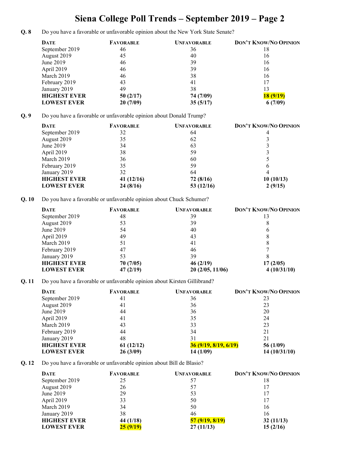# Siena College Poll Trends – September 2019 – Page 2

Q. 8 Do you have a favorable or unfavorable opinion about the New York State Senate?

| <b>DATE</b>         | <b>FAVORABLE</b> | <b>UNFAVORABLE</b> | <b>DON'T KNOW/NO OPINION</b> |
|---------------------|------------------|--------------------|------------------------------|
| September 2019      | 46               | 36                 | 18                           |
| August 2019         | 45               | 40                 | 16                           |
| June 2019           | 46               | 39                 | 16                           |
| April 2019          | 46               | 39                 | 16                           |
| March 2019          | 46               | 38                 | 16                           |
| February 2019       | 43               | 41                 | 17                           |
| January 2019        | 49               | 38                 | 13                           |
| <b>HIGHEST EVER</b> | 50(2/17)         | 74 (7/09)          | 18 (9/19)                    |
| <b>LOWEST EVER</b>  | 20(7/09)         | 35(5/17)           | 6(7/09)                      |

Q. 9 Do you have a favorable or unfavorable opinion about Donald Trump?

| <b>DATE</b>         | <b>FAVORABLE</b> | <b>UNFAVORABLE</b> | <b>DON'T KNOW/NO OPINION</b> |
|---------------------|------------------|--------------------|------------------------------|
| September 2019      | 32               | 64                 |                              |
| August 2019         | 35               | 62                 |                              |
| June 2019           | 34               | 63                 |                              |
| April 2019          | 38               | 59                 |                              |
| March 2019          | 36               | 60                 |                              |
| February 2019       | 35               | 59                 | <sub>0</sub>                 |
| January 2019        | 32               | 64                 |                              |
| <b>HIGHEST EVER</b> | 41(12/16)        | 72 (8/16)          | 10(10/13)                    |
| <b>LOWEST EVER</b>  | 24(8/16)         | 53 $(12/16)$       | 2(9/15)                      |

Q. 10 Do you have a favorable or unfavorable opinion about Chuck Schumer?

| <b>DATE</b>         | <b>FAVORABLE</b> | <b>UNFAVORABLE</b> | <b>DON'T KNOW/NO OPINION</b> |
|---------------------|------------------|--------------------|------------------------------|
| September 2019      | 48               | 39                 |                              |
| August 2019         | 53               | 39                 | 8                            |
| June 2019           | 54               | 40                 | O                            |
| April 2019          | 49               | 43                 |                              |
| March 2019          | 51               | 41                 | 8                            |
| February 2019       | 47               | 46                 |                              |
| January 2019        | 53               | 39                 |                              |
| <b>HIGHEST EVER</b> | 70 (7/05)        | 46(2/19)           | 17(2/05)                     |
| <b>LOWEST EVER</b>  | 47(2/19)         | 20(2/05, 11/06)    | 4(10/31/10)                  |

Q. 11 Do you have a favorable or unfavorable opinion about Kirsten Gillibrand?

| <b>DATE</b>         | <b>FAVORABLE</b> | <b>UNFAVORABLE</b>    | <b>DON'T KNOW/NO OPINION</b> |
|---------------------|------------------|-----------------------|------------------------------|
| September 2019      | 41               | 36                    | 23                           |
| August 2019         | 41               | 36                    | 23                           |
| June 2019           | 44               | 36                    | 20                           |
| April 2019          | 41               | 35                    | 24                           |
| March 2019          | 43               | 33                    | 23                           |
| February 2019       | 44               | 34                    | 21                           |
| January 2019        | 48               | 31                    | 21                           |
| <b>HIGHEST EVER</b> | 61(12/12)        | 36 (9/19, 8/19, 6/19) | 56 $(1/09)$                  |
| <b>LOWEST EVER</b>  | 26(3/09)         | 14 (1/09)             | 14 (10/31/10)                |

Q. 12 Do you have a favorable or unfavorable opinion about Bill de Blasio?

| <b>DATE</b>         | <b>FAVORABLE</b> | <b>UNFAVORABLE</b> | <b>DON'T KNOW/NO OPINION</b> |
|---------------------|------------------|--------------------|------------------------------|
| September 2019      | 25               |                    | 18                           |
| August 2019         | 26               | 57                 |                              |
| June 2019           | 29               | 53                 |                              |
| April 2019          | 33               | 50                 |                              |
| March 2019          | 34               | 50                 | 16                           |
| January 2019        | 38               | 46                 | 16                           |
| <b>HIGHEST EVER</b> | 44 (1/18)        | 57 (9/19, 8/19)    | 32(11/13)                    |
| <b>LOWEST EVER</b>  | 25(9/19)         | 27(11/13)          | 15(2/16)                     |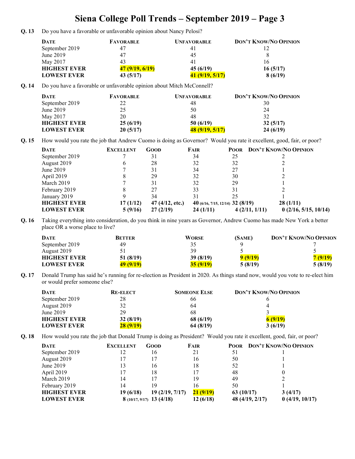### Siena College Poll Trends – September 2019 – Page 3

Q. 13 Do you have a favorable or unfavorable opinion about Nancy Pelosi?

| <b>DATE</b>         | <b>FAVORABLE</b> | <b>UNFAVORABLE</b> | <b>DON'T KNOW/NO OPINION</b> |
|---------------------|------------------|--------------------|------------------------------|
| September 2019      | 47               |                    |                              |
| June 2019           | $4^{\circ}$      | 45                 |                              |
| May 2017            | 43               | 41                 | 16                           |
| <b>HIGHEST EVER</b> | 47 (9/19, 6/19)  | 45(6/19)           | 16(5/17)                     |
| <b>LOWEST EVER</b>  | 43 (5/17)        | 41 (9/19, 5/17)    | 8(6/19)                      |

Q. 14 Do you have a favorable or unfavorable opinion about Mitch McConnell?

| <b>DATE</b>         | <b>FAVORABLE</b> | <b>UNFAVORABLE</b> | <b>DON'T KNOW/NO OPINION</b> |
|---------------------|------------------|--------------------|------------------------------|
| September 2019      | າາ<br>∠∠         | 48                 | 30                           |
| June 2019           | 25               | 50                 | 24                           |
| May 2017            | 20               | 48                 |                              |
| <b>HIGHEST EVER</b> | 25(6/19)         | 50(6/19)           | 32(5/17)                     |
| <b>LOWEST EVER</b>  | 20(5/17)         | 48 (9/19, 5/17)    | 24(6/19)                     |

Q. 15 How would you rate the job that Andrew Cuomo is doing as Governor? Would you rate it excellent, good, fair, or poor?

| <b>DATE</b>         | <b>EXCELLENT</b> | <b>GOOD</b>     | <b>FAIR</b> | <b>POOR</b>                      | DON'T KNOW/NO OPINION |
|---------------------|------------------|-----------------|-------------|----------------------------------|-----------------------|
| September 2019      |                  | 31              | 34          | 25                               |                       |
| August 2019         | b                | 28              | 32          | 32                               |                       |
| June 2019           |                  | 31              | 34          | 27                               |                       |
| April 2019          |                  | 29              | 32          | 30                               |                       |
| March 2019          |                  | 31              | 32          | 29                               |                       |
| February 2019       | 8                | 27              | 33          | 31                               |                       |
| January 2019        |                  | 34              | 31          | 25                               |                       |
| <b>HIGHEST EVER</b> | 17(1/12)         | 47 (4/12, etc.) |             | 40 (6/16, 7/15, 12/14) 32 (8/19) | 28(1/11)              |
| <b>LOWEST EVER</b>  | 5(9/16)          | 27(2/19)        | 24(1/11)    | 4(2/11, 1/11)                    | 0(2/16, 5/15, 10/14)  |

Q. 16 Taking everything into consideration, do you think in nine years as Governor, Andrew Cuomo has made New York a better place OR a worse place to live?

| DATE                | <b>BETTER</b> | <b>WORSE</b> | (SAME)  | <b>DON'T KNOW/NO OPINION</b> |
|---------------------|---------------|--------------|---------|------------------------------|
| September 2019      | 49            | 35           |         |                              |
| August 2019         |               | 39           |         |                              |
| <b>HIGHEST EVER</b> | 51 (8/19)     | 39(8/19)     | 9(9/19) | 7 (9/19)                     |
| <b>LOWEST EVER</b>  | 49 (9/19)     | 35(9/19)     | 5(8/19) | 5(8/19)                      |

Q. 17 Donald Trump has said he's running for re-election as President in 2020. As things stand now, would you vote to re-elect him or would prefer someone else?

| <b>DATE</b>         | <b>RE-ELECT</b> | <b>SOMEONE ELSE</b> | <b>DON'T KNOW/NO OPINION</b> |
|---------------------|-----------------|---------------------|------------------------------|
| September 2019      | 28              | 66                  |                              |
| August 2019         |                 | 64                  |                              |
| June 2019           | 29              | 68                  |                              |
| <b>HIGHEST EVER</b> | 32(8/19)        | 68 (6/19)           | 6(9/19)                      |
| <b>LOWEST EVER</b>  | 28(9/19)        | 64 (8/19)           | 3(6/19)                      |

Q. 18 How would you rate the job that Donald Trump is doing as President? Would you rate it excellent, good, fair, or poor?

| <b>DATE</b> |                     | <b>EXCELLENT</b>              | <b>GOOD</b>    | <b>FAIR</b> |           | <b>POOR DON'T KNOW/NO OPINION</b> |
|-------------|---------------------|-------------------------------|----------------|-------------|-----------|-----------------------------------|
|             | September 2019      |                               | 16             | 21          |           |                                   |
|             | August 2019         |                               |                | 16          | 50        |                                   |
|             | June 2019           |                               | 16             | 18          | 52        |                                   |
|             | April 2019          |                               | 18             | 17          | 48        |                                   |
|             | March 2019          | 14                            |                | 19          | 49        |                                   |
|             | February 2019       | 14                            | 19             | 16          | 50        |                                   |
|             | <b>HIGHEST EVER</b> | 19 (6/18)                     | 19(2/19, 7/17) | 21(9/19)    | 63(10/17) | 3(4/17)                           |
|             | <b>LOWEST EVER</b>  | 8 $(10/17, 9/17)$ 13 $(4/18)$ |                | 12(6/18)    |           | 48 (4/19, 2/17)<br>0(4/19, 10/17) |